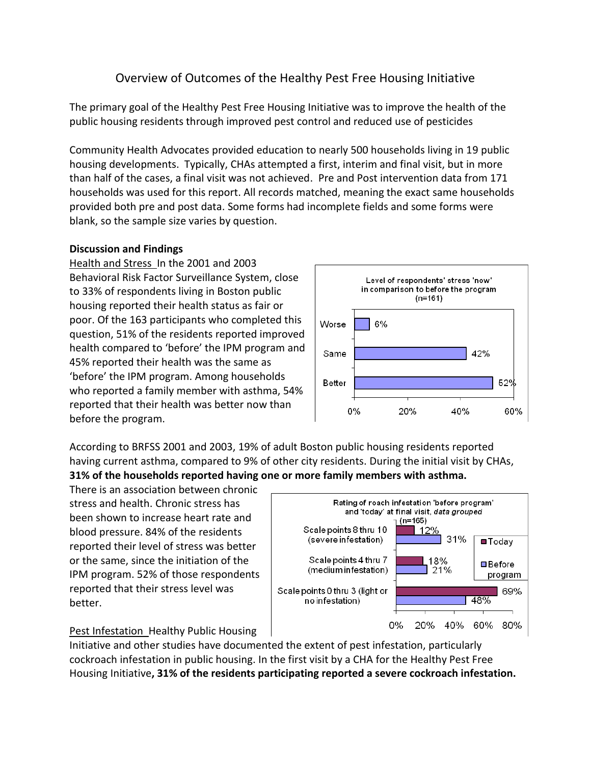# Overview of Outcomes of the Healthy Pest Free Housing Initiative

The primary goal of the Healthy Pest Free Housing Initiative was to improve the health of the public housing residents through improved pest control and reduced use of pesticides

Community Health Advocates provided education to nearly 500 households living in 19 public housing developments. Typically, CHAs attempted a first, interim and final visit, but in more than half of the cases, a final visit was not achieved. Pre and Post intervention data from 171 households was used for this report. All records matched, meaning the exact same households provided both pre and post data. Some forms had incomplete fields and some forms were blank, so the sample size varies by question.

### **Discussion and Findings**

Health and Stress In the 2001 and 2003 Behavioral Risk Factor Surveillance System, close to 33% of respondents living in Boston public housing reported their health status as fair or poor. Of the 163 participants who completed this question, 51% of the residents reported improved health compared to 'before' the IPM program and 45% reported their health was the same as 'before' the IPM program. Among households who reported a family member with asthma, 54% reported that their health was better now than before the program.



According to BRFSS 2001 and 2003, 19% of adult Boston public housing residents reported having current asthma, compared to 9% of other city residents. During the initial visit by CHAs, **31% of the households reported having one or more family members with asthma.**

There is an association between chronic stress and health. Chronic stress has been shown to increase heart rate and blood pressure. 84% of the residents reported their level of stress was better or the same, since the initiation of the IPM program. 52% of those respondents reported that their stress level was better.



#### Pest Infestation Healthy Public Housing

Initiative and other studies have documented the extent of pest infestation, particularly cockroach infestation in public housing. In the first visit by a CHA for the Healthy Pest Free Housing Initiative**, 31% of the residents participating reported a severe cockroach infestation.**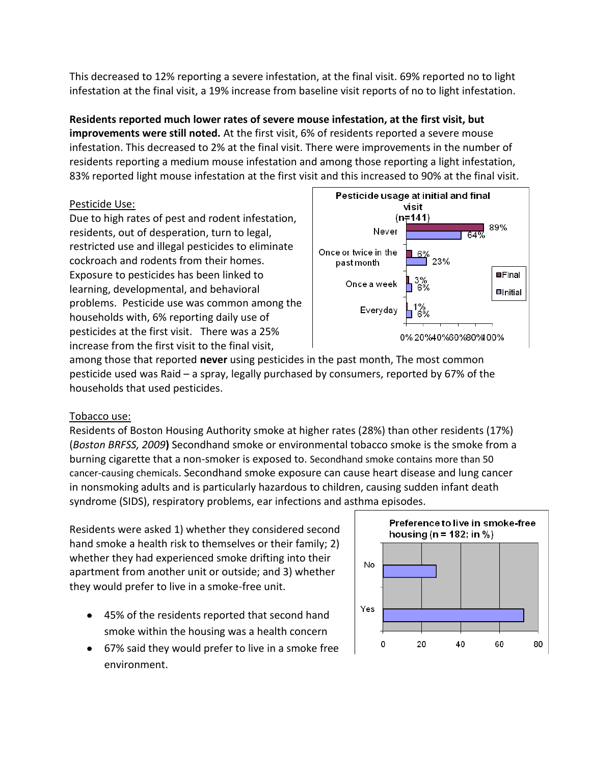This decreased to 12% reporting a severe infestation, at the final visit. 69% reported no to light infestation at the final visit, a 19% increase from baseline visit reports of no to light infestation.

# **Residents reported much lower rates of severe mouse infestation, at the first visit, but improvements were still noted.** At the first visit, 6% of residents reported a severe mouse

infestation. This decreased to 2% at the final visit. There were improvements in the number of residents reporting a medium mouse infestation and among those reporting a light infestation, 83% reported light mouse infestation at the first visit and this increased to 90% at the final visit.

### Pesticide Use:

Due to high rates of pest and rodent infestation, residents, out of desperation, turn to legal, restricted use and illegal pesticides to eliminate cockroach and rodents from their homes. Exposure to pesticides has been linked to learning, developmental, and behavioral problems. Pesticide use was common among the households with, 6% reporting daily use of pesticides at the first visit. There was a 25% increase from the first visit to the final visit,



among those that reported **never** using pesticides in the past month, The most common pesticide used was Raid – a spray, legally purchased by consumers, reported by 67% of the households that used pesticides.

# Tobacco use:

Residents of Boston Housing Authority smoke at higher rates (28%) than other residents (17%) (*Boston BRFSS, 2009***)** Secondhand smoke or environmental tobacco smoke is the smoke from a burning cigarette that a non-smoker is exposed to. Secondhand smoke contains more than 50 cancer-causing chemicals. Secondhand smoke exposure can cause heart disease and lung cancer in nonsmoking adults and is particularly hazardous to children, causing sudden infant death syndrome (SIDS), respiratory problems, ear infections and asthma episodes.

Residents were asked 1) whether they considered second hand smoke a health risk to themselves or their family; 2) whether they had experienced smoke drifting into their apartment from another unit or outside; and 3) whether they would prefer to live in a smoke-free unit.

- 45% of the residents reported that second hand smoke within the housing was a health concern
- 67% said they would prefer to live in a smoke free environment.

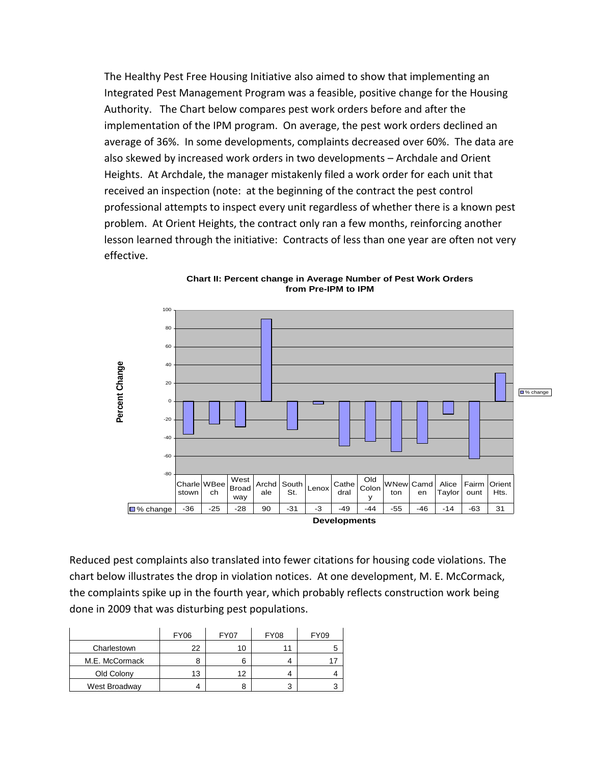The Healthy Pest Free Housing Initiative also aimed to show that implementing an Integrated Pest Management Program was a feasible, positive change for the Housing Authority. The Chart below compares pest work orders before and after the implementation of the IPM program. On average, the pest work orders declined an average of 36%. In some developments, complaints decreased over 60%. The data are also skewed by increased work orders in two developments - Archdale and Orient Heights. At Archdale, the manager mistakenly filed a work order for each unit that received an inspection (note: at the beginning of the contract the pest control professional attempts to inspect every unit regardless of whether there is a known pest problem. At Orient Heights, the contract only ran a few months, reinforcing another lesson learned through the initiative: Contracts of less than one year are often not very effective.



Chart II: Percent change in Average Number of Pest Work Orders from Pre-IPM to IPM

Reduced pest complaints also translated into fewer citations for housing code violations. The chart below illustrates the drop in violation notices. At one development, M. E. McCormack, the complaints spike up in the fourth year, which probably reflects construction work being done in 2009 that was disturbing pest populations.

|                | <b>FY06</b> | <b>FY07</b> | <b>FY08</b> | <b>FY09</b> |
|----------------|-------------|-------------|-------------|-------------|
| Charlestown    | 22          |             |             | 5           |
| M.E. McCormack |             |             |             |             |
| Old Colony     | 13          | 12          |             |             |
| West Broadway  |             |             | 3           | ◠           |